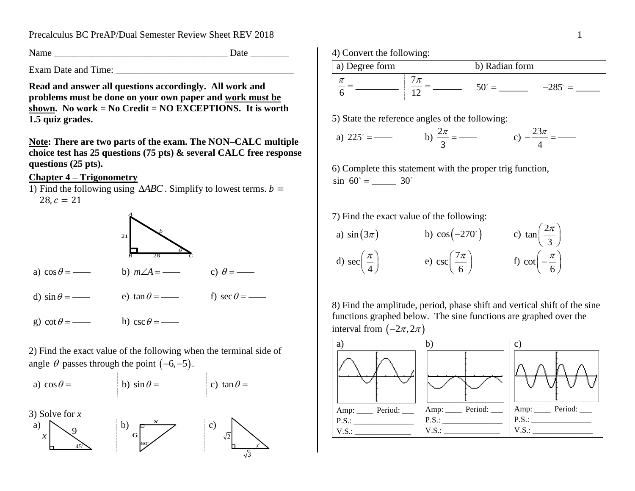Precalculus BC PreAP/Dual Semester Review Sheet REV 2018 1

Name Date  $\Box$ 

Exam Date and Time:

**Read and answer all questions accordingly. All work and problems must be done on your own paper and work must be shown. No work = No Credit = NO EXCEPTIONS. It is worth 1.5 quiz grades.**

**Note: There are two parts of the exam. The NON–CALC multiple choice test has 25 questions (75 pts) & several CALC free response questions (25 pts).**

## **Chapter 4 – Trigonometry**

1) Find the following using  $\triangle ABC$ . Simplify to lowest terms.  $b =$  $28, c = 21$ 



- a)  $\cos \theta =$ b)  $m\angle A =$  c)  $\theta = -$
- d) sin e) tan f) sec
- g)  $\cot \theta =$  h)  $\csc \theta =$  -

2) Find the exact value of the following when the terminal side of angle  $\theta$  passes through the point  $(-6, -5)$ .



3) Solve for *x*







5) State the reference angles of the following:

a) 
$$
225^\circ =
$$
   
b)  $\frac{2\pi}{3} =$    
c)  $-\frac{23\pi}{4} =$ 

6) Complete this statement with the proper trig function,  $\sin 60^\circ =$  \_\_\_\_\_\_\_ 30°

7) Find the exact value of the following:

a) 
$$
sin(3\pi)
$$
 b)  $cos(-270^\circ)$  c)  $tan(\frac{2\pi}{3})$   
d)  $sec(\frac{\pi}{4})$  e)  $csc(\frac{7\pi}{6})$  f)  $cot(-\frac{\pi}{6})$ 

8) Find the amplitude, period, phase shift and vertical shift of the sine functions graphed below. The sine functions are graphed over the interval from  $(-2\pi, 2\pi)$ 

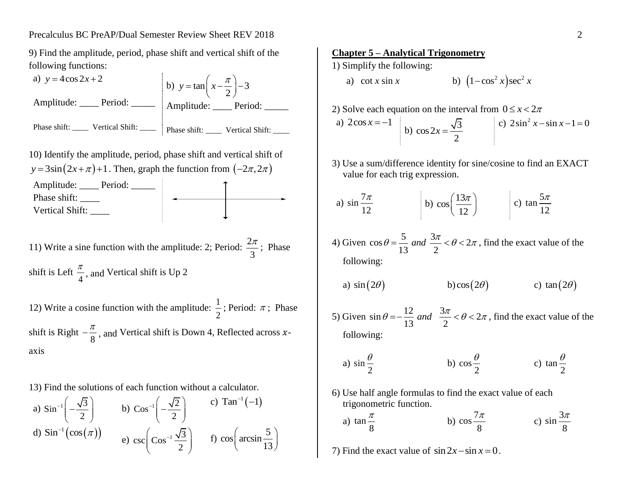9) Find the amplitude, period, phase shift and vertical shift of the following functions:

a)  $y = 4\cos 2x + 2$ Amplitude: \_\_\_\_ Period: \_\_\_\_\_ Phase shift: \_\_\_\_\_ Vertical Shift: \_\_\_\_ b)  $y = \tan \left( x - \frac{\pi}{2} \right) - 3$ 2  $y = \tan\left(x - \frac{\pi}{2}\right) - 3$ Amplitude: \_\_\_\_ Period: \_\_\_\_\_ Phase shift: \_\_\_\_\_ Vertical Shift: \_\_\_\_ 10) Identify the amplitude, period, phase shift and vertical shift of  $y = 3\sin(2x + \pi) + 1$ . Then, graph the function from  $(-2\pi, 2\pi)$ 

Amplitude: Deriod: 2000 Phase shift: \_\_\_\_\_\_ Vertical Shift:

11) Write a sine function with the amplitude: 2; Period:  $\frac{2}{3}$ 3  $\frac{\pi}{2}$ ; Phase shift is Left 4  $\frac{\pi}{4}$ , and Vertical shift is Up 2

12) Write a cosine function with the amplitude:  $\frac{1}{2}$ 2 ; Period:  $\pi$ ; Phase shift is Right 8  $-\frac{\pi}{\rho}$ , and Vertical shift is Down 4, Reflected across xaxis

13) Find the solutions of each function without a calculator.

a)  $\sin^{-1}\left(-\frac{\sqrt{3}}{2}\right)$ 2  $\left(-\frac{\sqrt{3}}{2}\right)$  $\left(-\frac{\sqrt{3}}{2}\right)$  b) Cos<sup>-1</sup> $\left(-\frac{\sqrt{2}}{2}\right)$ 2  $\left(-\frac{\sqrt{2}}{2}\right)$  $\left(\frac{-}{2}\right)$ c)  $Tan^{-1}(-1)$ d)  $\operatorname{Sin}^{-1}(\cos(\pi))$ e) csc  $\cos^{-1} \frac{\sqrt{3}}{2}$ 2 - $\left(\cos^{-1}\frac{\sqrt{3}}{2}\right)$  f)  $\cos\left(\arcsin\frac{5}{13}\right)$  $\left(\arcsin\frac{5}{13}\right)$ 

### **Chapter 5 – Analytical Trigonometry**

1) Simplify the following:

a) cot *x* sin *x* b)  $(1 - \cos^2 x) \sec^2 x$ 

2) Solve each equation on the interval from 
$$
0 \le x < 2\pi
$$
  
\na)  $2\cos x = -1$   
\nb)  $\cos 2x = \frac{\sqrt{3}}{2}$   
\nc)  $2\sin^2 x - \sin x - 1 = 0$ 

3) Use a sum/difference identity for sine/cosine to find an EXACT value for each trig expression.

a) 
$$
\sin \frac{7\pi}{12}
$$
 \t\t b)  $\cos \left(\frac{13\pi}{12}\right)$  \t\t c)  $\tan \frac{5\pi}{12}$ 

4) Given  $\cos \theta = \frac{5}{12}$  and  $\frac{3\pi}{2} < \theta < 2$  $\theta = \frac{5}{13}$  and  $\frac{3\pi}{2} < \theta < 2\pi$ , find the exact value of the following:

a) 
$$
sin(2\theta)
$$
 b)  $cos(2\theta)$  c)  $tan(2\theta)$ 

5) Given  $\sin \theta = -\frac{12}{12}$  and  $\frac{3\pi}{2} < \theta < 2$  $\theta = -\frac{12}{13}$  *and*  $\frac{3\pi}{2} < \theta < 2\pi$ , find the exact value of the following:

a) 
$$
\sin \frac{\theta}{2}
$$
 \t\t b)  $\cos \frac{\theta}{2}$  \t\t c)  $\tan \frac{\theta}{2}$ 

6) Use half angle formulas to find the exact value of each trigonometric function.

a) 
$$
\tan \frac{\pi}{8}
$$
 \t\t b)  $\cos \frac{7\pi}{8}$  \t\t c)  $\sin \frac{3\pi}{8}$ 

7) Find the exact value of  $\sin 2x - \sin x = 0$ .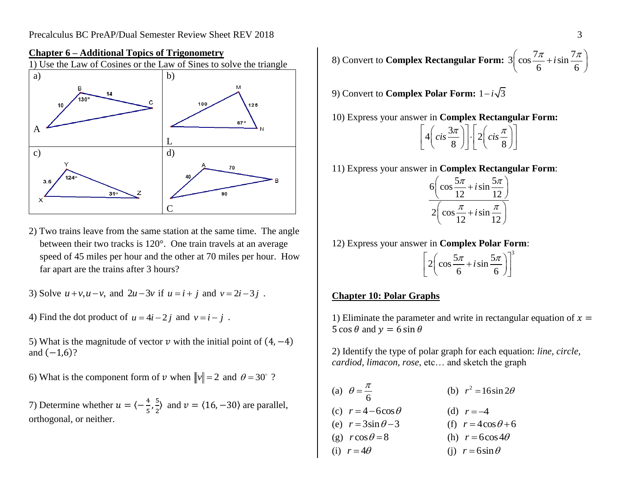

#### **Chapter 6 – Additional Topics of Trigonometry**

2) Two trains leave from the same station at the same time. The angle between their two tracks is 120°. One train travels at an average speed of 45 miles per hour and the other at 70 miles per hour. How far apart are the trains after 3 hours?

3) Solve 
$$
u + v, u - v
$$
, and  $2u - 3v$  if  $u = i + j$  and  $v = 2i - 3j$ .

4) Find the dot product of  $u = 4i - 2j$  and  $v = i - j$ .

5) What is the magnitude of vector  $\nu$  with the initial point of  $(4, -4)$ and  $(-1,6)$ ?

6) What is the component form of v when  $\|v\| = 2$  and  $\theta = 30^{\circ}$ ?

7) Determine whether  $u = \langle -\frac{4}{5} \rangle$  $\frac{4}{5}$ ,  $\frac{5}{2}$  $\frac{3}{2}$  and  $v = \langle 16, -30 \rangle$  are parallel, orthogonal, or neither.

8) Convert to **Complex Rectangular Form:**  $3 \left( \cos \frac{7\pi}{6} + i \sin \frac{7\pi}{6} \right)$  $\left(\cos\frac{7\pi}{6} + i\sin\frac{7\pi}{6}\right)$  $\left(\cos\frac{7\pi}{6}+i\sin\frac{7\pi}{6}\right)$ 

9) Convert to **Complex Polar Form:**  $1-i\sqrt{3}$ 

10) Express your answer in **Complex Rectangular Form:**

11) Express your answer in **Complex Rectangular Form**:

| $\cos \frac{5\pi}{12} + i \sin \frac{5\pi}{12}$<br>6 |  |
|------------------------------------------------------|--|
| $\frac{\pi}{2} + i \sin$<br>2<br>cos                 |  |

12) Express your answer in **Complex Polar Form**:

$$
\left[2\left(\cos\frac{5\pi}{6} + i\sin\frac{5\pi}{6}\right)\right]^3
$$

## **Chapter 10: Polar Graphs**

1) Eliminate the parameter and write in rectangular equation of  $x =$ 5 cos  $\theta$  and  $y = 6 \sin \theta$ 

2) Identify the type of polar graph for each equation: *line, circle, cardiod, limacon, rose*, etc… and sketch the graph

(a) 6  $\theta = \frac{\pi}{4}$ (b)  $r^2 = 16\sin 2\theta$ (c)  $r = 4 - 6\cos\theta$ (d)  $r = -4$ (e)  $r = 3\sin\theta - 3$ (f)  $r = 4\cos\theta + 6$ (g)  $r \cos \theta = 8$ (h)  $r = 6\cos 4\theta$ (i)  $r = 4\theta$  (i)  $r = 6\sin\theta$